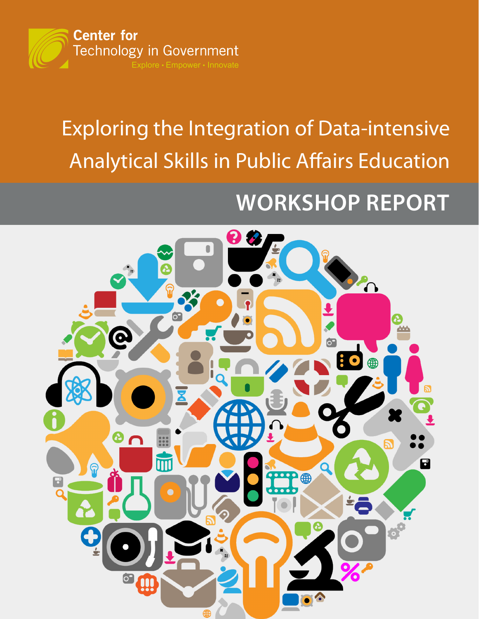

# Exploring the Integration of Data-intensive Analytical Skills in Public Affairs Education

# **WORKSHOP REPORT**

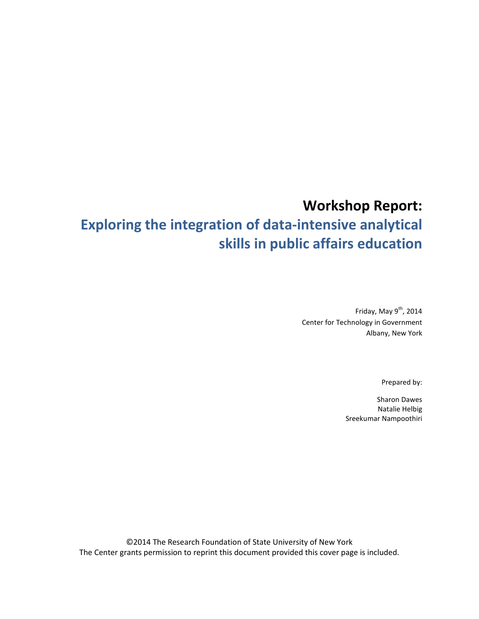# **Workshop Report:**

# **Exploring the integration of data-intensive analytical skills in public affairs education**

Friday, May 9<sup>th</sup>, 2014 Center for Technology in Government Albany, New York

Prepared by:

Sharon Dawes Natalie Helbig Sreekumar Nampoothiri

©2014 The Research Foundation of State University of New York The Center grants permission to reprint this document provided this cover page is included.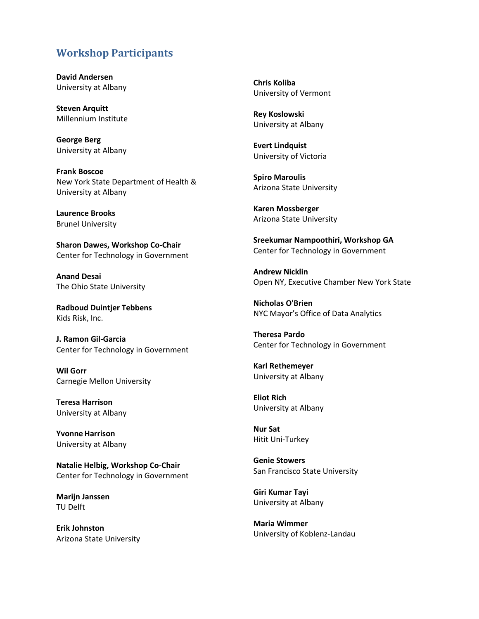## **Workshop Participants**

**David Andersen**  University at Albany

**Steven Arquitt**  Millennium Institute

**George Berg**  University at Albany

**Frank Boscoe**  New York State Department of Health & University at Albany

**Laurence Brooks**  Brunel University

**Sharon Dawes, Workshop Co-Chair**  Center for Technology in Government

**Anand Desai**  The Ohio State University

**Radboud Duintjer Tebbens**  Kids Risk, Inc.

**J. Ramon Gil-Garcia**  Center for Technology in Government

**Wil Gorr**  Carnegie Mellon University

**Teresa Harrison**  University at Albany

**Yvonne Harrison**  University at Albany

**Natalie Helbig, Workshop Co-Chair**  Center for Technology in Government

**Marijn Janssen**  TU Delft

**Erik Johnston**  Arizona State University **Chris Koliba**  University of Vermont

**Rey Koslowski**  University at Albany

**Evert Lindquist**  University of Victoria

**Spiro Maroulis**  Arizona State University

**Karen Mossberger**  Arizona State University

**Sreekumar Nampoothiri, Workshop GA**  Center for Technology in Government

**Andrew Nicklin**  Open NY, Executive Chamber New York State

**Nicholas O'Brien**  NYC Mayor's Office of Data Analytics

**Theresa Pardo**  Center for Technology in Government

**Karl Rethemeyer**  University at Albany

**Eliot Rich**  University at Albany

**Nur Sat**  Hitit Uni-Turkey

**Genie Stowers**  San Francisco State University

**Giri Kumar Tayi**  University at Albany

**Maria Wimmer**  University of Koblenz-Landau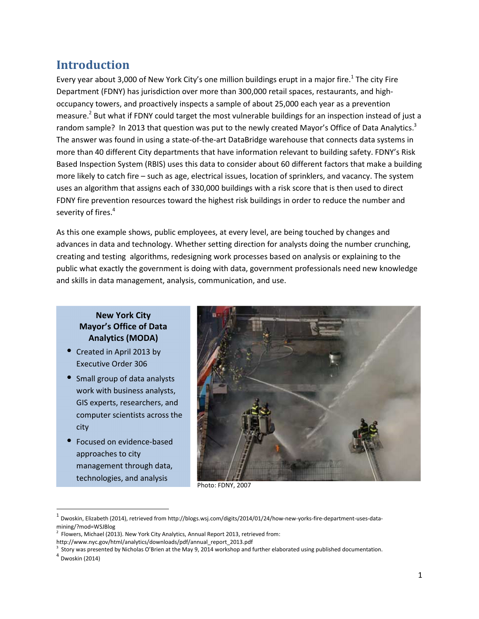## **Introduction**

Every year about 3,000 of New York City's one million buildings erupt in a major fire.<sup>1</sup> The city Fire Department (FDNY) has jurisdiction over more than 300,000 retail spaces, restaurants, and highoccupancy towers, and proactively inspects a sample of about 25,000 each year as a prevention measure.<sup>2</sup> But what if FDNY could target the most vulnerable buildings for an inspection instead of just a random sample? In 2013 that question was put to the newly created Mayor's Office of Data Analytics.<sup>3</sup> The answer was found in using a state-of-the-art DataBridge warehouse that connects data systems in more than 40 different City departments that have information relevant to building safety. FDNY's Risk Based Inspection System (RBIS) uses this data to consider about 60 different factors that make a building more likely to catch fire – such as age, electrical issues, location of sprinklers, and vacancy. The system uses an algorithm that assigns each of 330,000 buildings with a risk score that is then used to direct FDNY fire prevention resources toward the highest risk buildings in order to reduce the number and severity of fires.<sup>4</sup>

As this one example shows, public employees, at every level, are being touched by changes and advances in data and technology. Whether setting direction for analysts doing the number crunching, creating and testing algorithms, redesigning work processes based on analysis or explaining to the public what exactly the government is doing with data, government professionals need new knowledge and skills in data management, analysis, communication, and use.

### **New York City Mayor's Office of Data Analytics (MODA)**

- Created in April 2013 by Executive Order 306
- Small group of data analysts work with business analysts, GIS experts, researchers, and computer scientists across the city
- Focused on evidence-based approaches to city management through data, technologies, and analysis



Photo: FDNY, 2007

 $\overline{a}$ 

<sup>1</sup> Dwoskin, Elizabeth (2014), retrieved from http://blogs.wsj.com/digits/2014/01/24/how-new-yorks-fire-department-uses-datamining/?mod=WSJBlog

 $2$  Flowers, Michael (2013). New York City Analytics, Annual Report 2013, retrieved from:

http://www.nyc.gov/html/analytics/downloads/pdf/annual\_report\_2013.pdf

<sup>&</sup>lt;sup>3</sup> Story was presented by Nicholas O'Brien at the May 9, 2014 workshop and further elaborated using published documentation.

<sup>4</sup> Dwoskin (2014)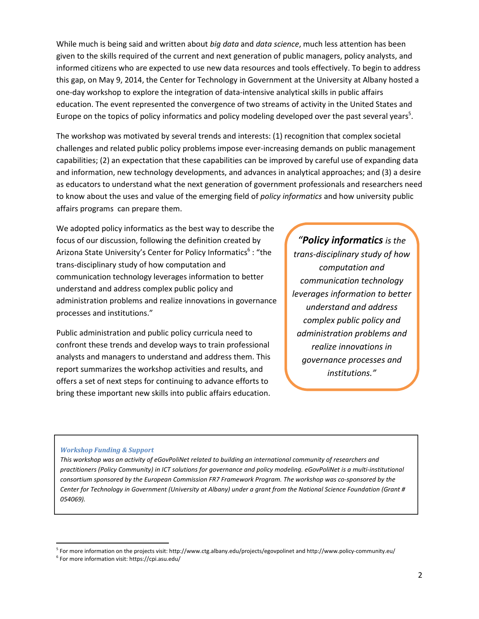While much is being said and written about *big data* and *data science*, much less attention has been given to the skills required of the current and next generation of public managers, policy analysts, and informed citizens who are expected to use new data resources and tools effectively. To begin to address this gap, on May 9, 2014, the Center for Technology in Government at the University at Albany hosted a one-day workshop to explore the integration of data-intensive analytical skills in public affairs education. The event represented the convergence of two streams of activity in the United States and Europe on the topics of policy informatics and policy modeling developed over the past several years<sup>5</sup>.

The workshop was motivated by several trends and interests: (1) recognition that complex societal challenges and related public policy problems impose ever-increasing demands on public management capabilities; (2) an expectation that these capabilities can be improved by careful use of expanding data and information, new technology developments, and advances in analytical approaches; and (3) a desire as educators to understand what the next generation of government professionals and researchers need to know about the uses and value of the emerging field of *policy informatics* and how university public affairs programs can prepare them.

We adopted policy informatics as the best way to describe the focus of our discussion, following the definition created by Arizona State University's Center for Policy Informatics<sup>6</sup>: "the trans-disciplinary study of how computation and communication technology leverages information to better understand and address complex public policy and administration problems and realize innovations in governance processes and institutions."

Public administration and public policy curricula need to confront these trends and develop ways to train professional analysts and managers to understand and address them. This report summarizes the workshop activities and results, and offers a set of next steps for continuing to advance efforts to bring these important new skills into public affairs education.

*"Policy informatics is the trans-disciplinary study of how computation and communication technology leverages information to better understand and address complex public policy and administration problems and realize innovations in governance processes and institutions."*

#### *Workshop Funding & Support*

*This workshop was an activity of eGovPoliNet related to building an international community of researchers and practitioners (Policy Community) in ICT solutions for governance and policy modeling. eGovPoliNet is a multi-institutional consortium sponsored by the European Commission FR7 Framework Program. The workshop was co-sponsored by the Center for Technology in Government (University at Albany) under a grant from the National Science Foundation (Grant # 054069).* 

-

<sup>&</sup>lt;sup>5</sup> For more information on the projects visit: http://www.ctg.albany.edu/projects/egovpolinet and http://www.policy-community.eu/

<sup>6</sup> For more information visit: https://cpi.asu.edu/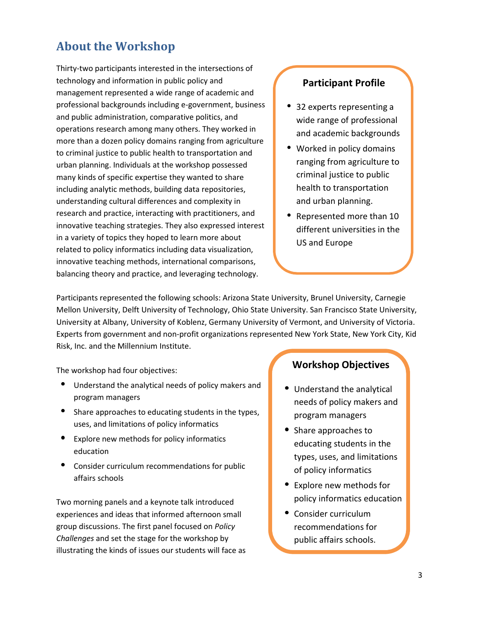## **About the Workshop**

Thirty-two participants interested in the intersections of technology and information in public policy and management represented a wide range of academic and professional backgrounds including e-government, business and public administration, comparative politics, and operations research among many others. They worked in more than a dozen policy domains ranging from agriculture to criminal justice to public health to transportation and urban planning. Individuals at the workshop possessed many kinds of specific expertise they wanted to share including analytic methods, building data repositories, understanding cultural differences and complexity in research and practice, interacting with practitioners, and innovative teaching strategies. They also expressed interest in a variety of topics they hoped to learn more about related to policy informatics including data visualization, innovative teaching methods, international comparisons, balancing theory and practice, and leveraging technology.

## **Participant Profile**

- 32 experts representing a wide range of professional and academic backgrounds
- Worked in policy domains ranging from agriculture to criminal justice to public health to transportation and urban planning.
- Represented more than 10 different universities in the US and Europe

Participants represented the following schools: Arizona State University, Brunel University, Carnegie Mellon University, Delft University of Technology, Ohio State University. San Francisco State University, University at Albany, University of Koblenz, Germany University of Vermont, and University of Victoria. Experts from government and non-profit organizations represented New York State, New York City, Kid Risk, Inc. and the Millennium Institute.

The workshop had four objectives:

- Understand the analytical needs of policy makers and program managers
- Share approaches to educating students in the types, uses, and limitations of policy informatics
- Explore new methods for policy informatics education
- Consider curriculum recommendations for public affairs schools

Two morning panels and a keynote talk introduced experiences and ideas that informed afternoon small group discussions. The first panel focused on *Policy Challenges* and set the stage for the workshop by illustrating the kinds of issues our students will face as

## **Workshop Objectives**

- Understand the analytical needs of policy makers and program managers
- Share approaches to educating students in the types, uses, and limitations of policy informatics
- Explore new methods for policy informatics education
- Consider curriculum recommendations for public affairs schools.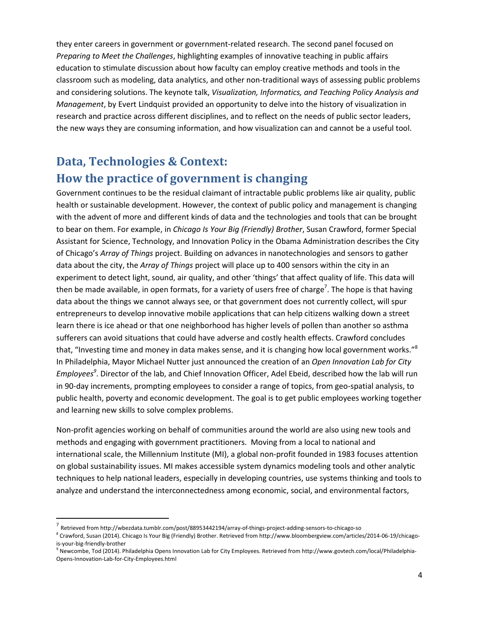they enter careers in government or government-related research. The second panel focused on *Preparing to Meet the Challenges*, highlighting examples of innovative teaching in public affairs education to stimulate discussion about how faculty can employ creative methods and tools in the classroom such as modeling, data analytics, and other non-traditional ways of assessing public problems and considering solutions. The keynote talk, *Visualization, Informatics, and Teaching Policy Analysis and Management*, by Evert Lindquist provided an opportunity to delve into the history of visualization in research and practice across different disciplines, and to reflect on the needs of public sector leaders, the new ways they are consuming information, and how visualization can and cannot be a useful tool.

# **Data, Technologies & Context: How the practice of government is changing**

Government continues to be the residual claimant of intractable public problems like air quality, public health or sustainable development. However, the context of public policy and management is changing with the advent of more and different kinds of data and the technologies and tools that can be brought to bear on them. For example, in *Chicago Is Your Big (Friendly) Brother*, Susan Crawford, former Special Assistant for Science, Technology, and Innovation Policy in the Obama Administration describes the City of Chicago's *Array of Things* project. Building on advances in nanotechnologies and sensors to gather data about the city, the *Array of Things* project will place up to 400 sensors within the city in an experiment to detect light, sound, air quality, and other 'things' that affect quality of life. This data will then be made available, in open formats, for a variety of users free of charge<sup>7</sup>. The hope is that having data about the things we cannot always see, or that government does not currently collect, will spur entrepreneurs to develop innovative mobile applications that can help citizens walking down a street learn there is ice ahead or that one neighborhood has higher levels of pollen than another so asthma sufferers can avoid situations that could have adverse and costly health effects. Crawford concludes that, "Investing time and money in data makes sense, and it is changing how local government works."<sup>8</sup> In Philadelphia, Mayor Michael Nutter just announced the creation of an *Open Innovation Lab for City Employees<sup>9</sup>* . Director of the lab, and Chief Innovation Officer, Adel Ebeid, described how the lab will run in 90-day increments, prompting employees to consider a range of topics, from geo-spatial analysis, to public health, poverty and economic development. The goal is to get public employees working together and learning new skills to solve complex problems.

Non-profit agencies working on behalf of communities around the world are also using new tools and methods and engaging with government practitioners. Moving from a local to national and international scale, the Millennium Institute (MI), a global non-profit founded in 1983 focuses attention on global sustainability issues. MI makes accessible system dynamics modeling tools and other analytic techniques to help national leaders, especially in developing countries, use systems thinking and tools to analyze and understand the interconnectedness among economic, social, and environmental factors,

.<br>-

<sup>7</sup> Retrieved from http://wbezdata.tumblr.com/post/88953442194/array-of-things-project-adding-sensors-to-chicago-so

<sup>&</sup>lt;sup>8</sup> Crawford, Susan (2014). Chicago Is Your Big (Friendly) Brother. Retrieved from http://www.bloombergview.com/articles/2014-06-19/chicagois-your-big-friendly-brother

<sup>&</sup>lt;sup>9</sup> Newcombe, Tod (2014). Philadelphia Opens Innovation Lab for City Employees. Retrieved from http://www.govtech.com/local/Philadelphia-Opens-Innovation-Lab-for-City-Employees.html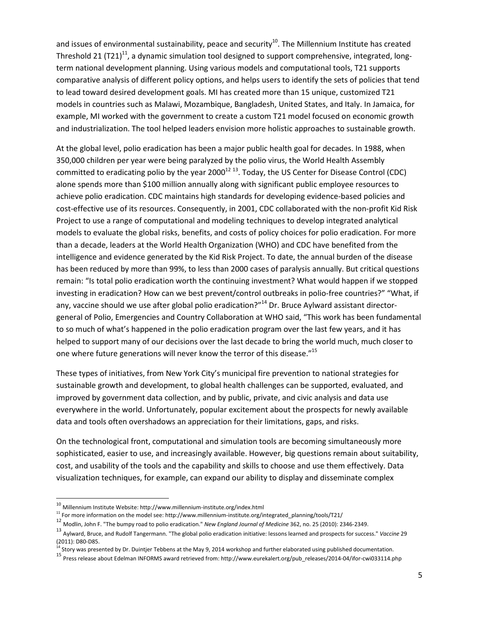and issues of environmental sustainability, peace and security<sup>10</sup>. The Millennium Institute has created Threshold 21 (T21)<sup>11</sup>, a dynamic simulation tool designed to support comprehensive, integrated, longterm national development planning. Using various models and computational tools, T21 supports comparative analysis of different policy options, and helps users to identify the sets of policies that tend to lead toward desired development goals. MI has created more than 15 unique, customized T21 models in countries such as Malawi, Mozambique, Bangladesh, United States, and Italy. In Jamaica, for example, MI worked with the government to create a custom T21 model focused on economic growth and industrialization. The tool helped leaders envision more holistic approaches to sustainable growth.

At the global level, polio eradication has been a major public health goal for decades. In 1988, when 350,000 children per year were being paralyzed by the polio virus, the World Health Assembly committed to eradicating polio by the year 2000<sup>12 13</sup>. Today, the US Center for Disease Control (CDC) alone spends more than \$100 million annually along with significant public employee resources to achieve polio eradication. CDC maintains high standards for developing evidence-based policies and cost-effective use of its resources. Consequently, in 2001, CDC collaborated with the non-profit Kid Risk Project to use a range of computational and modeling techniques to develop integrated analytical models to evaluate the global risks, benefits, and costs of policy choices for polio eradication. For more than a decade, leaders at the World Health Organization (WHO) and CDC have benefited from the intelligence and evidence generated by the Kid Risk Project. To date, the annual burden of the disease has been reduced by more than 99%, to less than 2000 cases of paralysis annually. But critical questions remain: "Is total polio eradication worth the continuing investment? What would happen if we stopped investing in eradication? How can we best prevent/control outbreaks in polio-free countries?" "What, if any, vaccine should we use after global polio eradication?"<sup>14</sup> Dr. Bruce Aylward assistant directorgeneral of Polio, Emergencies and Country Collaboration at WHO said, "This work has been fundamental to so much of what's happened in the polio eradication program over the last few years, and it has helped to support many of our decisions over the last decade to bring the world much, much closer to one where future generations will never know the terror of this disease."<sup>15</sup>

These types of initiatives, from New York City's municipal fire prevention to national strategies for sustainable growth and development, to global health challenges can be supported, evaluated, and improved by government data collection, and by public, private, and civic analysis and data use everywhere in the world. Unfortunately, popular excitement about the prospects for newly available data and tools often overshadows an appreciation for their limitations, gaps, and risks.

On the technological front, computational and simulation tools are becoming simultaneously more sophisticated, easier to use, and increasingly available. However, big questions remain about suitability, cost, and usability of the tools and the capability and skills to choose and use them effectively. Data visualization techniques, for example, can expand our ability to display and disseminate complex

l

<sup>10</sup> Millennium Institute Website: http://www.millennium-institute.org/index.html

<sup>&</sup>lt;sup>11</sup> For more information on the model see: http://www.millennium-institute.org/integrated\_planning/tools/T21/

<sup>12</sup> Modlin, John F. "The bumpy road to polio eradication." *New England Journal of Medicine* 362, no. 25 (2010): 2346-2349.

<sup>13</sup> Aylward, Bruce, and Rudolf Tangermann. "The global polio eradication initiative: lessons learned and prospects for success." *Vaccine*<sup>29</sup> (2011): D80-D85.

<sup>&</sup>lt;sup>14</sup> Story was presented by Dr. Duintjer Tebbens at the May 9, 2014 workshop and further elaborated using published documentation.

<sup>15</sup> Press release about Edelman INFORMS award retrieved from: http://www.eurekalert.org/pub\_releases/2014-04/ifor-cwi033114.php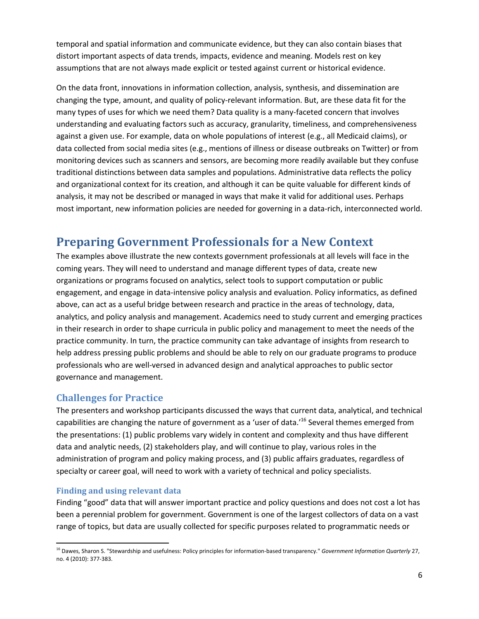temporal and spatial information and communicate evidence, but they can also contain biases that distort important aspects of data trends, impacts, evidence and meaning. Models rest on key assumptions that are not always made explicit or tested against current or historical evidence.

On the data front, innovations in information collection, analysis, synthesis, and dissemination are changing the type, amount, and quality of policy-relevant information. But, are these data fit for the many types of uses for which we need them? Data quality is a many-faceted concern that involves understanding and evaluating factors such as accuracy, granularity, timeliness, and comprehensiveness against a given use. For example, data on whole populations of interest (e.g., all Medicaid claims), or data collected from social media sites (e.g., mentions of illness or disease outbreaks on Twitter) or from monitoring devices such as scanners and sensors, are becoming more readily available but they confuse traditional distinctions between data samples and populations. Administrative data reflects the policy and organizational context for its creation, and although it can be quite valuable for different kinds of analysis, it may not be described or managed in ways that make it valid for additional uses. Perhaps most important, new information policies are needed for governing in a data-rich, interconnected world.

## **Preparing Government Professionals for a New Context**

The examples above illustrate the new contexts government professionals at all levels will face in the coming years. They will need to understand and manage different types of data, create new organizations or programs focused on analytics, select tools to support computation or public engagement, and engage in data-intensive policy analysis and evaluation. Policy informatics, as defined above, can act as a useful bridge between research and practice in the areas of technology, data, analytics, and policy analysis and management. Academics need to study current and emerging practices in their research in order to shape curricula in public policy and management to meet the needs of the practice community. In turn, the practice community can take advantage of insights from research to help address pressing public problems and should be able to rely on our graduate programs to produce professionals who are well-versed in advanced design and analytical approaches to public sector governance and management.

## **Challenges for Practice**

The presenters and workshop participants discussed the ways that current data, analytical, and technical capabilities are changing the nature of government as a 'user of data.'<sup>16</sup> Several themes emerged from the presentations: (1) public problems vary widely in content and complexity and thus have different data and analytic needs, (2) stakeholders play, and will continue to play, various roles in the administration of program and policy making process, and (3) public affairs graduates, regardless of specialty or career goal, will need to work with a variety of technical and policy specialists.

#### **Finding and using relevant data**

l

Finding "good" data that will answer important practice and policy questions and does not cost a lot has been a perennial problem for government. Government is one of the largest collectors of data on a vast range of topics, but data are usually collected for specific purposes related to programmatic needs or

<sup>16</sup> Dawes, Sharon S. "Stewardship and usefulness: Policy principles for information-based transparency." *Government Information Quarterly* 27, no. 4 (2010): 377-383.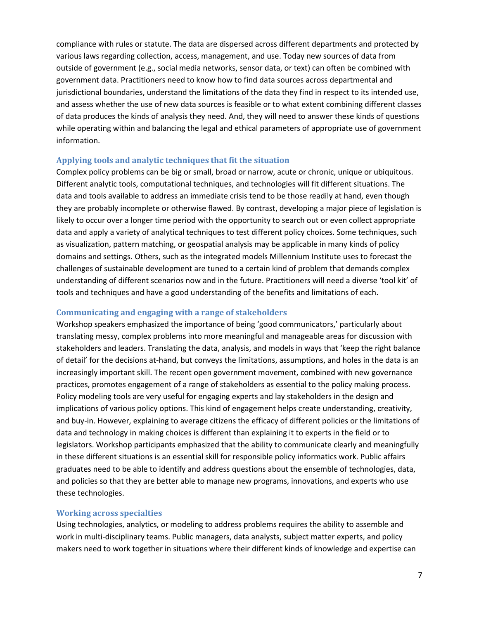compliance with rules or statute. The data are dispersed across different departments and protected by various laws regarding collection, access, management, and use. Today new sources of data from outside of government (e.g., social media networks, sensor data, or text) can often be combined with government data. Practitioners need to know how to find data sources across departmental and jurisdictional boundaries, understand the limitations of the data they find in respect to its intended use, and assess whether the use of new data sources is feasible or to what extent combining different classes of data produces the kinds of analysis they need. And, they will need to answer these kinds of questions while operating within and balancing the legal and ethical parameters of appropriate use of government information.

#### **Applying tools and analytic techniques that fit the situation**

Complex policy problems can be big or small, broad or narrow, acute or chronic, unique or ubiquitous. Different analytic tools, computational techniques, and technologies will fit different situations. The data and tools available to address an immediate crisis tend to be those readily at hand, even though they are probably incomplete or otherwise flawed. By contrast, developing a major piece of legislation is likely to occur over a longer time period with the opportunity to search out or even collect appropriate data and apply a variety of analytical techniques to test different policy choices. Some techniques, such as visualization, pattern matching, or geospatial analysis may be applicable in many kinds of policy domains and settings. Others, such as the integrated models Millennium Institute uses to forecast the challenges of sustainable development are tuned to a certain kind of problem that demands complex understanding of different scenarios now and in the future. Practitioners will need a diverse 'tool kit' of tools and techniques and have a good understanding of the benefits and limitations of each.

#### **Communicating and engaging with a range of stakeholders**

Workshop speakers emphasized the importance of being 'good communicators,' particularly about translating messy, complex problems into more meaningful and manageable areas for discussion with stakeholders and leaders. Translating the data, analysis, and models in ways that 'keep the right balance of detail' for the decisions at-hand, but conveys the limitations, assumptions, and holes in the data is an increasingly important skill. The recent open government movement, combined with new governance practices, promotes engagement of a range of stakeholders as essential to the policy making process. Policy modeling tools are very useful for engaging experts and lay stakeholders in the design and implications of various policy options. This kind of engagement helps create understanding, creativity, and buy-in. However, explaining to average citizens the efficacy of different policies or the limitations of data and technology in making choices is different than explaining it to experts in the field or to legislators. Workshop participants emphasized that the ability to communicate clearly and meaningfully in these different situations is an essential skill for responsible policy informatics work. Public affairs graduates need to be able to identify and address questions about the ensemble of technologies, data, and policies so that they are better able to manage new programs, innovations, and experts who use these technologies.

#### **Working across specialties**

Using technologies, analytics, or modeling to address problems requires the ability to assemble and work in multi-disciplinary teams. Public managers, data analysts, subject matter experts, and policy makers need to work together in situations where their different kinds of knowledge and expertise can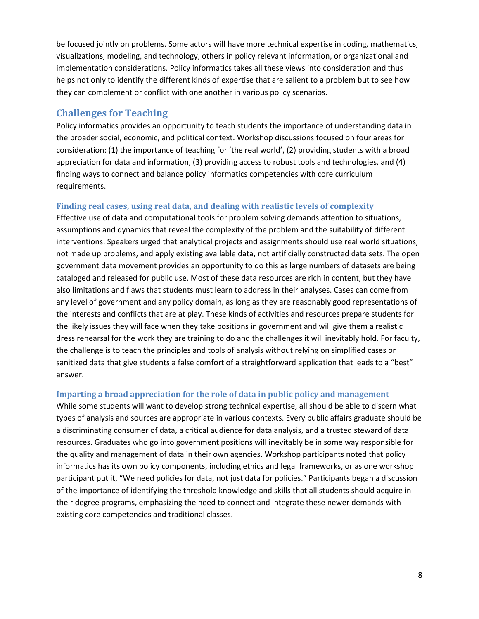be focused jointly on problems. Some actors will have more technical expertise in coding, mathematics, visualizations, modeling, and technology, others in policy relevant information, or organizational and implementation considerations. Policy informatics takes all these views into consideration and thus helps not only to identify the different kinds of expertise that are salient to a problem but to see how they can complement or conflict with one another in various policy scenarios.

### **Challenges for Teaching**

Policy informatics provides an opportunity to teach students the importance of understanding data in the broader social, economic, and political context. Workshop discussions focused on four areas for consideration: (1) the importance of teaching for 'the real world', (2) providing students with a broad appreciation for data and information, (3) providing access to robust tools and technologies, and (4) finding ways to connect and balance policy informatics competencies with core curriculum requirements.

#### **Finding real cases, using real data, and dealing with realistic levels of complexity**

Effective use of data and computational tools for problem solving demands attention to situations, assumptions and dynamics that reveal the complexity of the problem and the suitability of different interventions. Speakers urged that analytical projects and assignments should use real world situations, not made up problems, and apply existing available data, not artificially constructed data sets. The open government data movement provides an opportunity to do this as large numbers of datasets are being cataloged and released for public use. Most of these data resources are rich in content, but they have also limitations and flaws that students must learn to address in their analyses. Cases can come from any level of government and any policy domain, as long as they are reasonably good representations of the interests and conflicts that are at play. These kinds of activities and resources prepare students for the likely issues they will face when they take positions in government and will give them a realistic dress rehearsal for the work they are training to do and the challenges it will inevitably hold. For faculty, the challenge is to teach the principles and tools of analysis without relying on simplified cases or sanitized data that give students a false comfort of a straightforward application that leads to a "best" answer.

#### **Imparting a broad appreciation for the role of data in public policy and management**

While some students will want to develop strong technical expertise, all should be able to discern what types of analysis and sources are appropriate in various contexts. Every public affairs graduate should be a discriminating consumer of data, a critical audience for data analysis, and a trusted steward of data resources. Graduates who go into government positions will inevitably be in some way responsible for the quality and management of data in their own agencies. Workshop participants noted that policy informatics has its own policy components, including ethics and legal frameworks, or as one workshop participant put it, "We need policies for data, not just data for policies." Participants began a discussion of the importance of identifying the threshold knowledge and skills that all students should acquire in their degree programs, emphasizing the need to connect and integrate these newer demands with existing core competencies and traditional classes.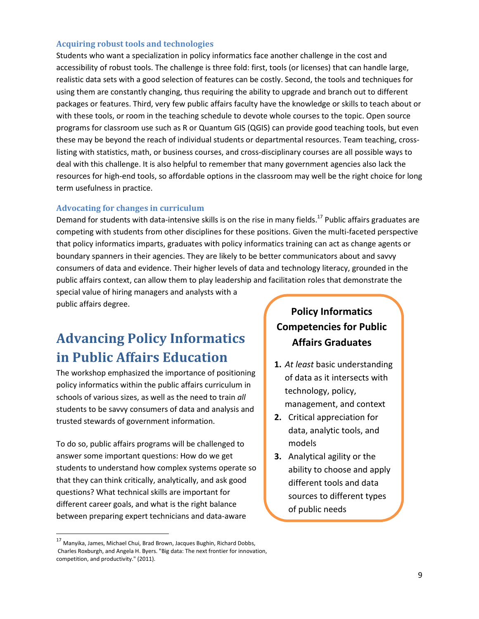#### **Acquiring robust tools and technologies**

Students who want a specialization in policy informatics face another challenge in the cost and accessibility of robust tools. The challenge is three fold: first, tools (or licenses) that can handle large, realistic data sets with a good selection of features can be costly. Second, the tools and techniques for using them are constantly changing, thus requiring the ability to upgrade and branch out to different packages or features. Third, very few public affairs faculty have the knowledge or skills to teach about or with these tools, or room in the teaching schedule to devote whole courses to the topic. Open source programs for classroom use such as R or Quantum GIS (QGIS) can provide good teaching tools, but even these may be beyond the reach of individual students or departmental resources. Team teaching, crosslisting with statistics, math, or business courses, and cross-disciplinary courses are all possible ways to deal with this challenge. It is also helpful to remember that many government agencies also lack the resources for high-end tools, so affordable options in the classroom may well be the right choice for long term usefulness in practice.

#### **Advocating for changes in curriculum**

Demand for students with data-intensive skills is on the rise in many fields.<sup>17</sup> Public affairs graduates are competing with students from other disciplines for these positions. Given the multi-faceted perspective that policy informatics imparts, graduates with policy informatics training can act as change agents or boundary spanners in their agencies. They are likely to be better communicators about and savvy consumers of data and evidence. Their higher levels of data and technology literacy, grounded in the public affairs context, can allow them to play leadership and facilitation roles that demonstrate the

special value of hiring managers and analysts with a public affairs degree.

# **Advancing Policy Informatics in Public Affairs Education**

The workshop emphasized the importance of positioning policy informatics within the public affairs curriculum in schools of various sizes, as well as the need to train *all* students to be savvy consumers of data and analysis and trusted stewards of government information.

To do so, public affairs programs will be challenged to answer some important questions: How do we get students to understand how complex systems operate so that they can think critically, analytically, and ask good questions? What technical skills are important for different career goals, and what is the right balance between preparing expert technicians and data-aware

#### <sup>17</sup> Manyika, James, Michael Chui, Brad Brown, Jacques Bughin, Richard Dobbs, Charles Roxburgh, and Angela H. Byers. "Big data: The next frontier for innovation, competition, and productivity." (2011).

.<br>-

## **Policy Informatics Competencies for Public Affairs Graduates**

- **1.** *At least* basic understanding of data as it intersects with technology, policy, management, and context
- **2.** Critical appreciation for data, analytic tools, and models
- **3.** Analytical agility or the ability to choose and apply different tools and data sources to different types of public needs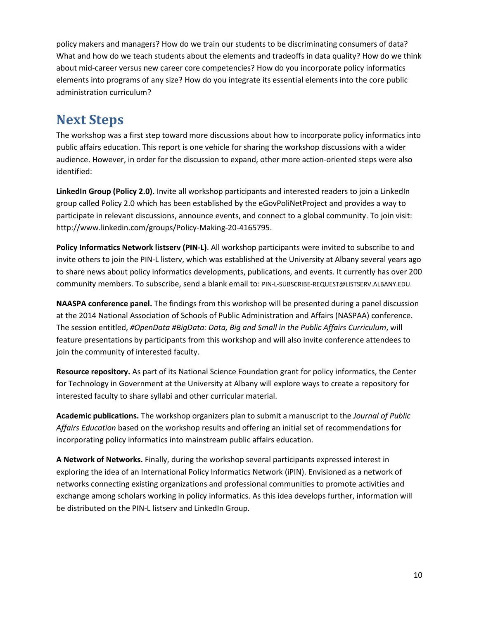policy makers and managers? How do we train our students to be discriminating consumers of data? What and how do we teach students about the elements and tradeoffs in data quality? How do we think about mid-career versus new career core competencies? How do you incorporate policy informatics elements into programs of any size? How do you integrate its essential elements into the core public administration curriculum?

# **Next Steps**

The workshop was a first step toward more discussions about how to incorporate policy informatics into public affairs education. This report is one vehicle for sharing the workshop discussions with a wider audience. However, in order for the discussion to expand, other more action-oriented steps were also identified:

**LinkedIn Group (Policy 2.0).** Invite all workshop participants and interested readers to join a LinkedIn group called Policy 2.0 which has been established by the eGovPoliNetProject and provides a way to participate in relevant discussions, announce events, and connect to a global community. To join visit: http://www.linkedin.com/groups/Policy-Making-20-4165795.

**Policy Informatics Network listserv (PIN-L)**. All workshop participants were invited to subscribe to and invite others to join the PIN-L listerv, which was established at the University at Albany several years ago to share news about policy informatics developments, publications, and events. It currently has over 200 community members. To subscribe, send a blank email to: PIN-L-SUBSCRIBE-REQUEST@LISTSERV.ALBANY.EDU.

**NAASPA conference panel.** The findings from this workshop will be presented during a panel discussion at the 2014 National Association of Schools of Public Administration and Affairs (NASPAA) conference. The session entitled, *#OpenData #BigData: Data, Big and Small in the Public Affairs Curriculum*, will feature presentations by participants from this workshop and will also invite conference attendees to join the community of interested faculty.

**Resource repository.** As part of its National Science Foundation grant for policy informatics, the Center for Technology in Government at the University at Albany will explore ways to create a repository for interested faculty to share syllabi and other curricular material.

**Academic publications.** The workshop organizers plan to submit a manuscript to the *Journal of Public Affairs Education* based on the workshop results and offering an initial set of recommendations for incorporating policy informatics into mainstream public affairs education.

**A Network of Networks.** Finally, during the workshop several participants expressed interest in exploring the idea of an International Policy Informatics Network (iPIN). Envisioned as a network of networks connecting existing organizations and professional communities to promote activities and exchange among scholars working in policy informatics. As this idea develops further, information will be distributed on the PIN-L listserv and LinkedIn Group.